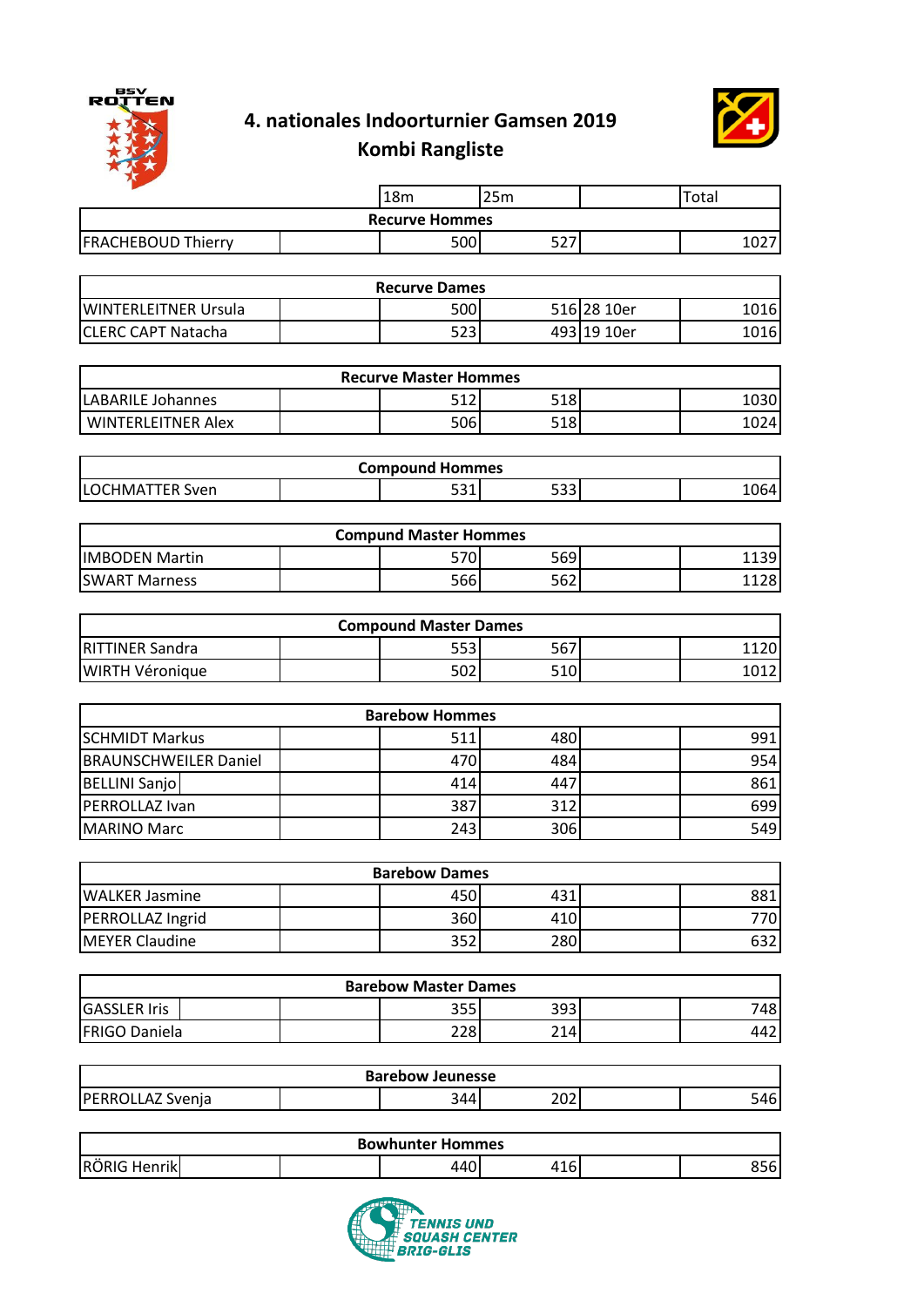

## **4. nationales Indoorturnier Gamsen 2019 Kombi Rangliste**



|                                        | 18m                          | 25m |             | Total |
|----------------------------------------|------------------------------|-----|-------------|-------|
|                                        | <b>Recurve Hommes</b>        |     |             |       |
| <b>FRACHEBOUD Thierry</b>              | 500                          | 527 |             | 1027  |
|                                        |                              |     |             |       |
|                                        | <b>Recurve Dames</b>         |     |             |       |
| <b>WINTERLEITNER Ursula</b>            | 500                          |     | 516 28 10er | 1016  |
| <b>CLERC CAPT Natacha</b>              | 523                          |     | 493 19 10er | 1016  |
|                                        |                              |     |             |       |
|                                        | <b>Recurve Master Hommes</b> |     |             |       |
| <b>LABARILE Johannes</b>               | 512                          | 518 |             | 1030  |
| <b>WINTERLEITNER Alex</b>              | 506                          | 518 |             | 1024  |
|                                        |                              |     |             |       |
|                                        | <b>Compound Hommes</b>       |     |             |       |
| <b>LOCHMATTER Sven</b>                 | 531                          | 533 |             | 1064  |
|                                        |                              |     |             |       |
|                                        | <b>Compund Master Hommes</b> |     |             |       |
| <b>IMBODEN Martin</b>                  | 570                          | 569 |             | 1139  |
| <b>SWART Marness</b>                   | 566                          | 562 |             | 1128  |
|                                        |                              |     |             |       |
|                                        | <b>Compound Master Dames</b> |     |             |       |
| <b>RITTINER Sandra</b>                 | 553                          | 567 |             | 1120  |
| WIRTH Véronique                        | 502                          | 510 |             | 1012  |
|                                        |                              |     |             |       |
|                                        | <b>Barebow Hommes</b>        |     |             |       |
| <b>SCHMIDT Markus</b>                  | 511                          | 480 |             | 991   |
| <b>BRAUNSCHWEILER Daniel</b>           | 470                          | 484 |             | 954   |
| <b>BELLINI Sanjo</b><br>PERROLLAZ Ivan | 414                          | 447 |             | 861   |
|                                        | 387                          | 312 |             | 699   |
| <b>MARINO Marc</b>                     | 243                          | 306 |             | 549   |
|                                        | <b>Barebow Dames</b>         |     |             |       |
| <b>WALKER Jasmine</b>                  | 450                          | 431 |             | 881   |
| PERROLLAZ Ingrid                       | 360                          | 410 |             | 770   |
| <b>MEYER Claudine</b>                  | 352                          | 280 |             | 632   |
|                                        |                              |     |             |       |
|                                        | <b>Barebow Master Dames</b>  |     |             |       |
| <b>GASSLER Iris</b>                    | 355                          | 393 |             | 748   |
| FRIGO Daniela                          | 228                          | 214 |             | 442   |
|                                        |                              |     |             |       |
|                                        | <b>Barebow Jeunesse</b>      |     |             |       |
| PERROLLAZ Svenja                       | 344                          | 202 |             | 546   |

| <b>Bowhunter Hommes</b> |  |    |               |  |                |  |  |  |
|-------------------------|--|----|---------------|--|----------------|--|--|--|
| RÖRIG Henrik            |  | 44 | $\sim$<br>416 |  | $\sim$<br>.ob' |  |  |  |

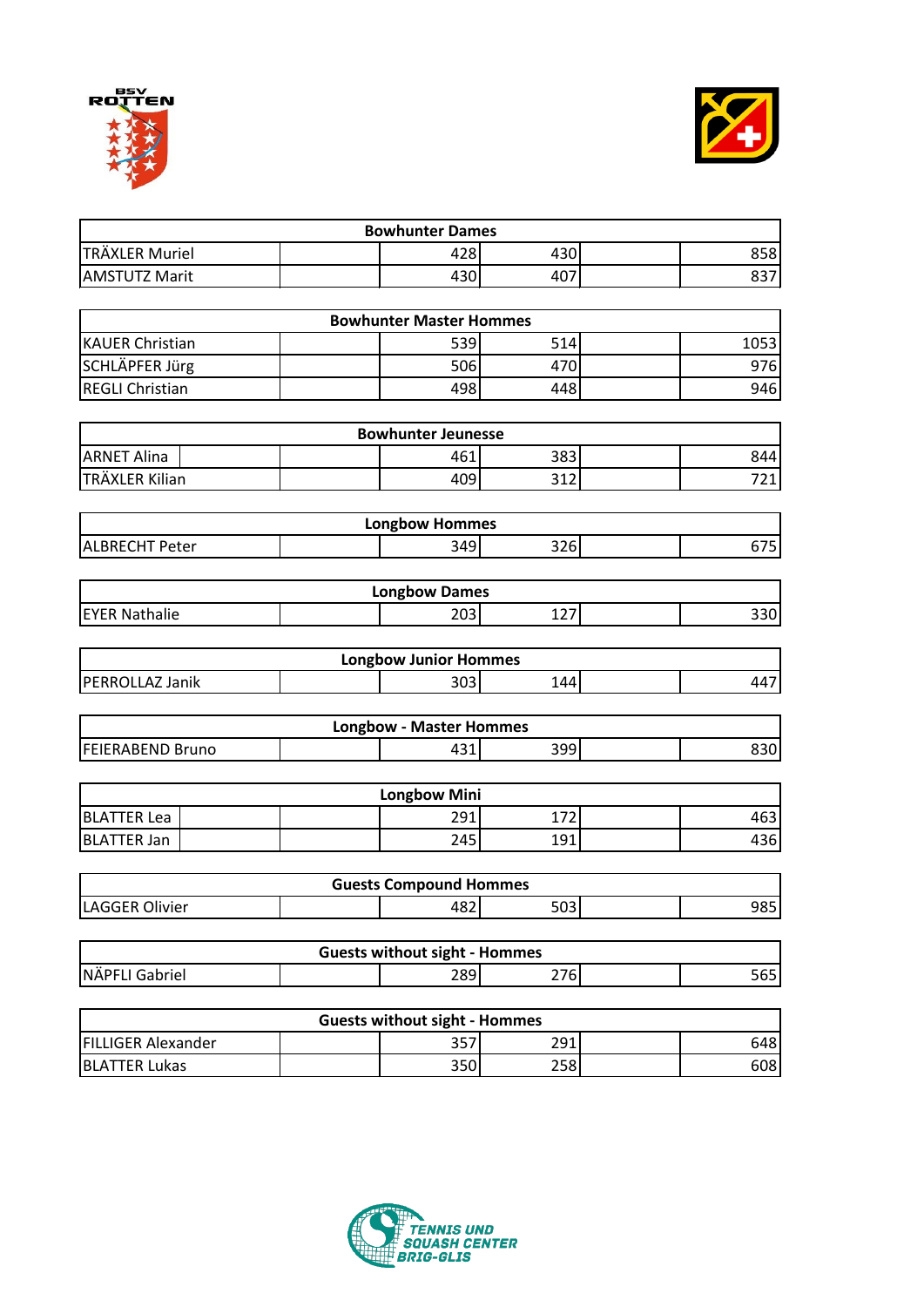



|                           | <b>Bowhunter Dames</b>               |     |      |
|---------------------------|--------------------------------------|-----|------|
| TRÄXLER Muriel            | 428                                  | 430 | 858  |
| <b>AMSTUTZ Marit</b>      | 430                                  | 407 | 837  |
|                           |                                      |     |      |
|                           | <b>Bowhunter Master Hommes</b>       |     |      |
| <b>KAUER Christian</b>    | 539                                  | 514 | 1053 |
| SCHLÄPFER Jürg            | 506                                  | 470 | 976  |
| <b>REGLI Christian</b>    | 498                                  | 448 | 946  |
|                           | <b>Bowhunter Jeunesse</b>            |     |      |
| <b>ARNET Alina</b>        | 461                                  | 383 | 844  |
| TRÄXLER Kilian            | 409                                  | 312 | 721  |
|                           |                                      |     |      |
|                           | <b>Longbow Hommes</b>                |     |      |
| <b>ALBRECHT Peter</b>     | 349                                  | 326 | 675  |
|                           |                                      |     |      |
|                           | <b>Longbow Dames</b>                 |     |      |
| <b>EYER Nathalie</b>      | 203                                  | 127 | 330  |
|                           | <b>Longbow Junior Hommes</b>         |     |      |
| PERROLLAZ Janik           | 303                                  | 144 | 447  |
|                           |                                      |     |      |
|                           | <b>Longbow - Master Hommes</b>       |     |      |
| <b>FEIERABEND Bruno</b>   | 431                                  | 399 | 830  |
|                           |                                      |     |      |
|                           | <b>Longbow Mini</b>                  |     |      |
| <b>BLATTER Lea</b>        | 291                                  | 172 | 463  |
| <b>BLATTER Jan</b>        | 245                                  | 191 | 436  |
|                           |                                      |     |      |
|                           | <b>Guests Compound Hommes</b><br>482 | 503 |      |
| <b>LAGGER Olivier</b>     |                                      |     | 985  |
|                           | <b>Guests without sight - Hommes</b> |     |      |
| NÄPFLI Gabriel            | 289                                  | 276 | 565  |
|                           |                                      |     |      |
|                           | <b>Guests without sight - Hommes</b> |     |      |
| <b>FILLIGER Alexander</b> | 357                                  | 291 | 648  |
| <b>BLATTER Lukas</b>      | 350                                  | 258 | 608  |